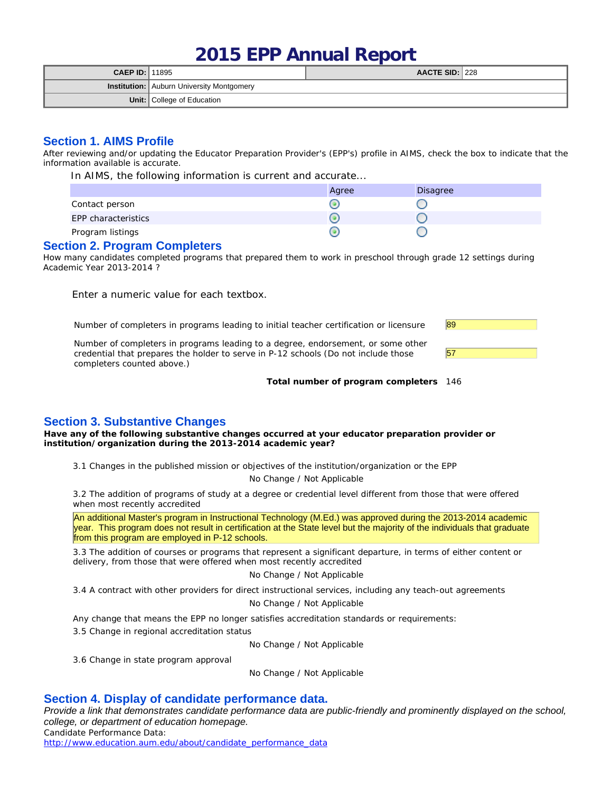# **2015 EPP Annual Report**

| <b>CAEP ID: 11895</b> |                                                  | AACTE SID: 228 |  |
|-----------------------|--------------------------------------------------|----------------|--|
|                       | <b>Institution:</b> Auburn University Montgomery |                |  |
|                       | <b>Unit:</b> College of Education                |                |  |

## **Section 1. AIMS Profile**

After reviewing and/or updating the Educator Preparation Provider's (EPP's) profile in AIMS, check the box to indicate that the information available is accurate.

In AIMS, the following information is current and accurate...

|                     | Agree | <b>Disagree</b> |
|---------------------|-------|-----------------|
| Contact person      |       |                 |
| EPP characteristics |       |                 |
| Program listings    |       |                 |

#### **Section 2. Program Completers**

How many candidates completed programs that prepared them to work in preschool through grade 12 settings during Academic Year 2013-2014 ?

Enter a numeric value for each textbox.

Number of completers in programs leading to initial teacher certification or licensure  $\frac{89}{69}$ 

Number of completers in programs leading to a degree, endorsement, or some other credential that prepares the holder to serve in P-12 schools (Do not include those completers counted above.)



**Total number of program completers** 146

# **Section 3. Substantive Changes**

**Have any of the following substantive changes occurred at your educator preparation provider or institution/organization during the 2013-2014 academic year?**

3.1 Changes in the published mission or objectives of the institution/organization or the EPP

No Change / Not Applicable

3.2 The addition of programs of study at a degree or credential level different from those that were offered when most recently accredited

An additional Master's program in Instructional Technology (M.Ed.) was approved during the 2013-2014 academic year. This program does not result in certification at the State level but the majority of the individuals that graduate from this program are employed in P-12 schools.

3.3 The addition of courses or programs that represent a significant departure, in terms of either content or delivery, from those that were offered when most recently accredited

No Change / Not Applicable

3.4 A contract with other providers for direct instructional services, including any teach-out agreements

No Change / Not Applicable

Any change that means the EPP no longer satisfies accreditation standards or requirements:

3.5 Change in regional accreditation status

No Change / Not Applicable

3.6 Change in state program approval

No Change / Not Applicable

## **Section 4. Display of candidate performance data.**

*Provide a link that demonstrates candidate performance data are public-friendly and prominently displayed on the school, college, or department of education homepage.* Candidate Performance Data:

http://www.education.aum.edu/about/candidate\_performance\_data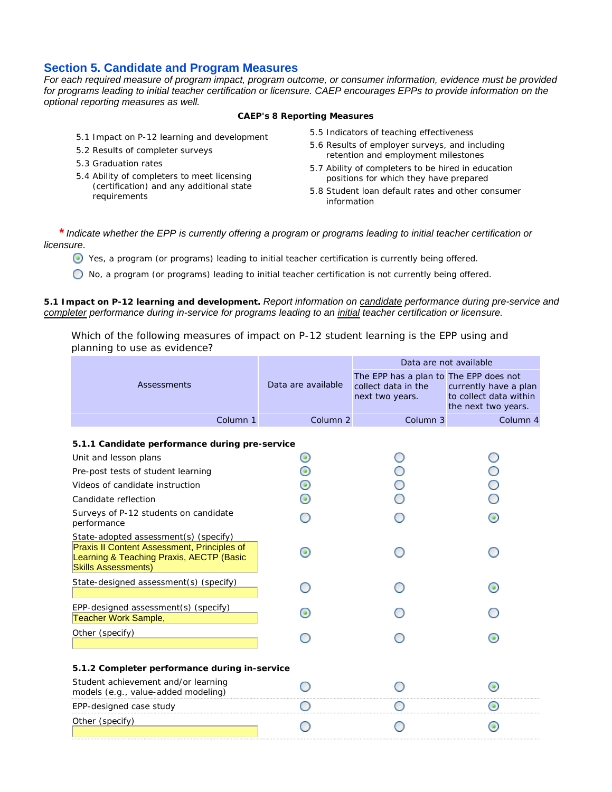## **Section 5. Candidate and Program Measures**

*For each required measure of program impact, program outcome, or consumer information, evidence must be provided for programs leading to initial teacher certification or licensure. CAEP encourages EPPs to provide information on the optional reporting measures as well.*

**CAEP's 8 Reporting Measures**

- 5.1 Impact on P-12 learning and development
- 5.2 Results of completer surveys
- 5.3 Graduation rates
- 5.4 Ability of completers to meet licensing (certification) and any additional state requirements
- 5.5 Indicators of teaching effectiveness
- 5.6 Results of employer surveys, and including retention and employment milestones
- 5.7 Ability of completers to be hired in education positions for which they have prepared
- 5.8 Student loan default rates and other consumer information

*\* Indicate whether the EPP is currently offering a program or programs leading to initial teacher certification or licensure.*

Yes, a program (or programs) leading to initial teacher certification is currently being offered.

No, a program (or programs) leading to initial teacher certification is not currently being offered.

**5.1 Impact on P-12 learning and development.** *Report information on candidate performance during pre-service and completer performance during in-service for programs leading to an initial teacher certification or licensure.*

Which of the following measures of impact on P-12 student learning is the EPP using and planning to use as evidence?

|                                                                                                                                                                       |                     | Data are not available                                                           |                                                                        |  |
|-----------------------------------------------------------------------------------------------------------------------------------------------------------------------|---------------------|----------------------------------------------------------------------------------|------------------------------------------------------------------------|--|
| <b>Assessments</b>                                                                                                                                                    | Data are available  | The EPP has a plan to The EPP does not<br>collect data in the<br>next two years. | currently have a plan<br>to collect data within<br>the next two years. |  |
| Column 1                                                                                                                                                              | Column <sub>2</sub> | Column <sub>3</sub>                                                              | Column 4                                                               |  |
| 5.1.1 Candidate performance during pre-service<br>Unit and lesson plans                                                                                               |                     |                                                                                  |                                                                        |  |
| Pre-post tests of student learning<br>Videos of candidate instruction                                                                                                 | ◉<br>◉              |                                                                                  |                                                                        |  |
| Candidate reflection                                                                                                                                                  |                     |                                                                                  |                                                                        |  |
| Surveys of P-12 students on candidate<br>performance                                                                                                                  |                     |                                                                                  | ⋒                                                                      |  |
| State-adopted assessment(s) (specify)<br><b>Praxis II Content Assessment, Principles of</b><br>Learning & Teaching Praxis, AECTP (Basic<br><b>Skills Assessments)</b> | (@)                 |                                                                                  |                                                                        |  |
| State-designed assessment(s) (specify)                                                                                                                                |                     |                                                                                  | o                                                                      |  |
| EPP-designed assessment(s) (specify)<br>Teacher Work Sample,                                                                                                          |                     |                                                                                  |                                                                        |  |
| Other (specify)                                                                                                                                                       |                     |                                                                                  |                                                                        |  |
| 5.1.2 Completer performance during in-service                                                                                                                         |                     |                                                                                  |                                                                        |  |
| Student achievement and/or learning<br>models (e.g., value-added modeling)                                                                                            |                     |                                                                                  | <b>O</b>                                                               |  |
| EPP-designed case study                                                                                                                                               |                     |                                                                                  | 0                                                                      |  |
| Other (specify)                                                                                                                                                       |                     |                                                                                  |                                                                        |  |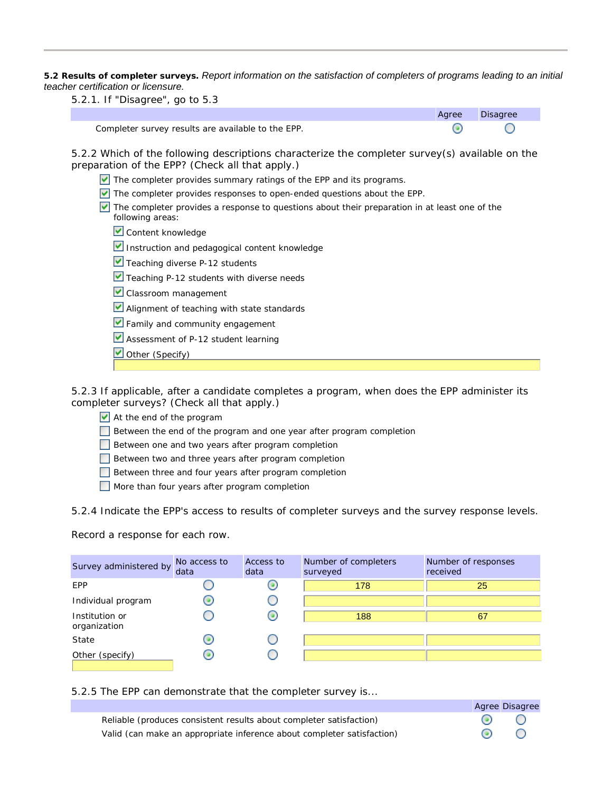**5.2 Results of completer surveys.** *Report information on the satisfaction of completers of programs leading to an initial teacher certification or licensure.*

5.2.1. If "Disagree", go to 5.3

|                                                    | Agree | <b>Disagree</b> |
|----------------------------------------------------|-------|-----------------|
| Completer survey results are available to the EPP. |       |                 |

5.2.2 Which of the following descriptions characterize the completer survey(s) available on the preparation of the EPP? (Check all that apply.)

- $\vee$  The completer provides summary ratings of the EPP and its programs.
- $\triangledown$  The completer provides responses to open-ended questions about the EPP.
- The completer provides a response to questions about their preparation in at least one of the following areas:
	- Content knowledge
	- Instruction and pedagogical content knowledge
	- $\blacktriangleright$  Teaching diverse P-12 students
	- Teaching P-12 students with diverse needs
	- Classroom management
	- Alignment of teaching with state standards
	- **V** Family and community engagement
	- Assessment of P-12 student learning
	- Other (Specify)

5.2.3 If applicable, after a candidate completes a program, when does the EPP administer its completer surveys? (Check all that apply.)

- At the end of the program
- Between the end of the program and one year after program completion
- Between one and two years after program completion
- Between two and three years after program completion
- Between three and four years after program completion
- More than four years after program completion

5.2.4 Indicate the EPP's access to results of completer surveys and the survey response levels.

Record a response for each row.

| Survey administered by         | No access to<br>data | Access to<br>data | Number of completers<br>surveyed | Number of responses<br>received |
|--------------------------------|----------------------|-------------------|----------------------------------|---------------------------------|
| EPP                            |                      | ω                 | 178                              | 25                              |
| Individual program             | o                    |                   |                                  |                                 |
| Institution or<br>organization |                      | 0                 | 188                              | 67                              |
| State                          |                      |                   |                                  |                                 |
| Other (specify)                | 0                    |                   |                                  |                                 |

5.2.5 The EPP can demonstrate that the completer survey is...

Agree Disagree ◉ Reliable (produces consistent results about completer satisfaction) O  $\odot$ Valid (can make an appropriate inference about completer satisfaction)∩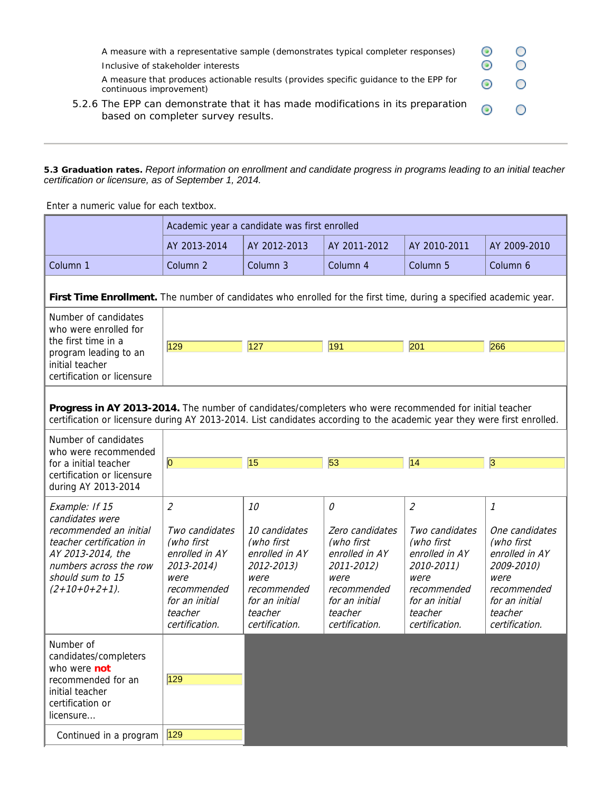| A measure with a representative sample (demonstrates typical completer responses)<br>Inclusive of stakeholder interests<br>A measure that produces actionable results (provides specific guidance to the EPP for<br>continuous improvement) |  |  |
|---------------------------------------------------------------------------------------------------------------------------------------------------------------------------------------------------------------------------------------------|--|--|
| 5.2.6 The EPP can demonstrate that it has made modifications in its preparation<br>based on completer survey results.                                                                                                                       |  |  |

**5.3 Graduation rates.** *Report information on enrollment and candidate progress in programs leading to an initial teacher certification or licensure, as of September 1, 2014.*

Enter a numeric value for each textbox.

|                                                                                                                                                                                                                                    | Academic year a candidate was first enrolled                                                                                                                      |                                                                                                                                         |                                                                                                                                          |                                                                                                                                                                   |                                                                                                                                         |
|------------------------------------------------------------------------------------------------------------------------------------------------------------------------------------------------------------------------------------|-------------------------------------------------------------------------------------------------------------------------------------------------------------------|-----------------------------------------------------------------------------------------------------------------------------------------|------------------------------------------------------------------------------------------------------------------------------------------|-------------------------------------------------------------------------------------------------------------------------------------------------------------------|-----------------------------------------------------------------------------------------------------------------------------------------|
|                                                                                                                                                                                                                                    | AY 2013-2014                                                                                                                                                      | AY 2012-2013                                                                                                                            | AY 2011-2012                                                                                                                             | AY 2010-2011                                                                                                                                                      | AY 2009-2010                                                                                                                            |
| Column 1                                                                                                                                                                                                                           | Column <sub>2</sub>                                                                                                                                               | Column 3                                                                                                                                | Column 4                                                                                                                                 | Column 5                                                                                                                                                          | Column 6                                                                                                                                |
| First Time Enrollment. The number of candidates who enrolled for the first time, during a specified academic year.                                                                                                                 |                                                                                                                                                                   |                                                                                                                                         |                                                                                                                                          |                                                                                                                                                                   |                                                                                                                                         |
| Number of candidates<br>who were enrolled for<br>the first time in a                                                                                                                                                               |                                                                                                                                                                   |                                                                                                                                         |                                                                                                                                          |                                                                                                                                                                   |                                                                                                                                         |
| program leading to an<br>initial teacher<br>certification or licensure                                                                                                                                                             | 129                                                                                                                                                               | 127                                                                                                                                     | 191                                                                                                                                      | 201                                                                                                                                                               | 266                                                                                                                                     |
| Progress in AY 2013-2014. The number of candidates/completers who were recommended for initial teacher<br>certification or licensure during AY 2013-2014. List candidates according to the academic year they were first enrolled. |                                                                                                                                                                   |                                                                                                                                         |                                                                                                                                          |                                                                                                                                                                   |                                                                                                                                         |
| Number of candidates<br>who were recommended                                                                                                                                                                                       |                                                                                                                                                                   |                                                                                                                                         |                                                                                                                                          |                                                                                                                                                                   |                                                                                                                                         |
| for a initial teacher<br>certification or licensure<br>during AY 2013-2014                                                                                                                                                         | $\overline{0}$                                                                                                                                                    | 15                                                                                                                                      | 53                                                                                                                                       | $\overline{14}$                                                                                                                                                   | 3                                                                                                                                       |
| Example: If 15<br>candidates were<br>recommended an initial<br>teacher certification in<br>AY 2013-2014, the<br>numbers across the row<br>should sum to 15<br>$(2+10+0+2+1)$ .                                                     | $\mathcal{L}_{\mathcal{L}}$<br>Two candidates<br>(who first<br>enrolled in AY<br>2013-2014)<br>were<br>recommended<br>for an initial<br>teacher<br>certification. | 10<br>10 candidates<br>(who first<br>enrolled in AY<br>2012-2013)<br>were<br>recommended<br>for an initial<br>teacher<br>certification. | 0<br>Zero candidates<br>(who first<br>enrolled in AY<br>2011-2012)<br>were<br>recommended<br>for an initial<br>teacher<br>certification. | $\mathcal{L}_{\mathcal{L}}$<br>Two candidates<br>(who first<br>enrolled in AY<br>2010-2011)<br>were<br>recommended<br>for an initial<br>teacher<br>certification. | 1<br>One candidates<br>(who first<br>enrolled in AY<br>2009-2010)<br>were<br>recommended<br>for an initial<br>teacher<br>certification. |
| Number of<br>candidates/completers<br>who were not<br>recommended for an<br>initial teacher<br>certification or<br>licensure                                                                                                       | 129                                                                                                                                                               |                                                                                                                                         |                                                                                                                                          |                                                                                                                                                                   |                                                                                                                                         |
| Continued in a program                                                                                                                                                                                                             | 129                                                                                                                                                               |                                                                                                                                         |                                                                                                                                          |                                                                                                                                                                   |                                                                                                                                         |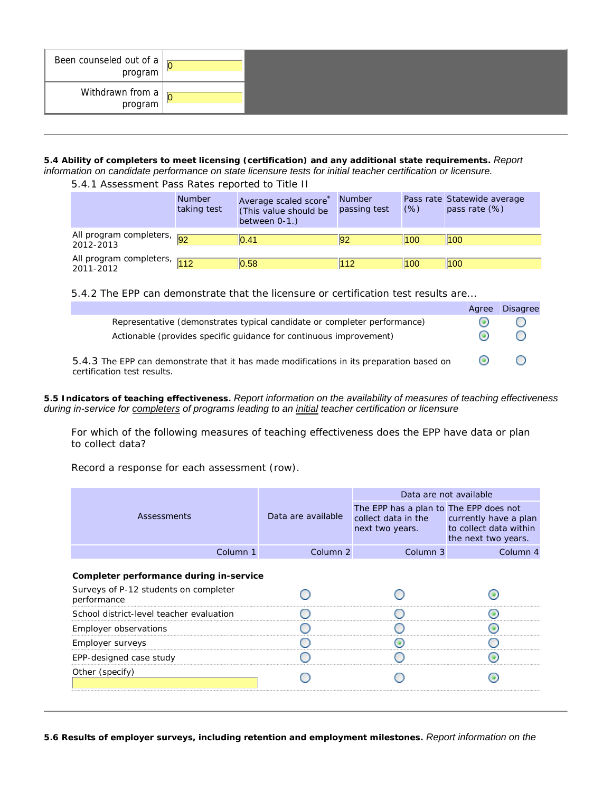| Been counseled out of a $\vert$<br>program |  |
|--------------------------------------------|--|
| Withdrawn from a<br>program                |  |

**5.4 Ability of completers to meet licensing (certification) and any additional state requirements.** *Report information on candidate performance on state licensure tests for initial teacher certification or licensure.*

## 5.4.1 Assessment Pass Rates reported to Title II

|                                          | <b>Number</b><br>taking test | Average scaled score<br>(This value should be<br>between $0-1.$ ) | <b>Number</b><br>passing test | (% ) | Pass rate Statewide average<br>pass rate (%) |
|------------------------------------------|------------------------------|-------------------------------------------------------------------|-------------------------------|------|----------------------------------------------|
| All program completers, 92<br>2012-2013  |                              | 0.41                                                              |                               | 100  | 100                                          |
| All program completers, 112<br>2011-2012 |                              | 0.58                                                              | 112                           | 100  | 100                                          |

5.4.2 The EPP can demonstrate that the licensure or certification test results are...

|                                                                                                                                                | Agree                    | <b>Disagree</b>                               |
|------------------------------------------------------------------------------------------------------------------------------------------------|--------------------------|-----------------------------------------------|
| Representative (demonstrates typical candidate or completer performance)<br>Actionable (provides specific quidance for continuous improvement) |                          |                                               |
| 5.4.3 The EPP can demonstrate that it has made modifications in its preparation based on                                                       | $\left( \bullet \right)$ | $\left( \begin{array}{c} \end{array} \right)$ |
| certification test results.                                                                                                                    |                          |                                               |

#### **5.5 Indicators of teaching effectiveness.** *Report information on the availability of measures of teaching effectiveness during in-service for completers of programs leading to an initial teacher certification or licensure*

For which of the following measures of teaching effectiveness does the EPP have data or plan to collect data?

Record a response for each assessment (row).

|                                                      |                    | Data are not available                                                                                 |                                               |  |
|------------------------------------------------------|--------------------|--------------------------------------------------------------------------------------------------------|-----------------------------------------------|--|
| Assessments                                          | Data are available | The EPP has a plan to The EPP does not<br>collect data in the currently have a plan<br>next two years. | to collect data within<br>the next two years. |  |
| Column 1                                             | Column 2           | Column 3                                                                                               | Column 4                                      |  |
| Completer performance during in-service              |                    |                                                                                                        |                                               |  |
| Surveys of P-12 students on completer<br>performance |                    |                                                                                                        |                                               |  |
| School district-level teacher evaluation             |                    |                                                                                                        |                                               |  |
| Employer observations                                |                    |                                                                                                        |                                               |  |
| Employer surveys                                     |                    |                                                                                                        |                                               |  |
| EPP-designed case study                              |                    |                                                                                                        |                                               |  |
| Other (specify)                                      |                    |                                                                                                        |                                               |  |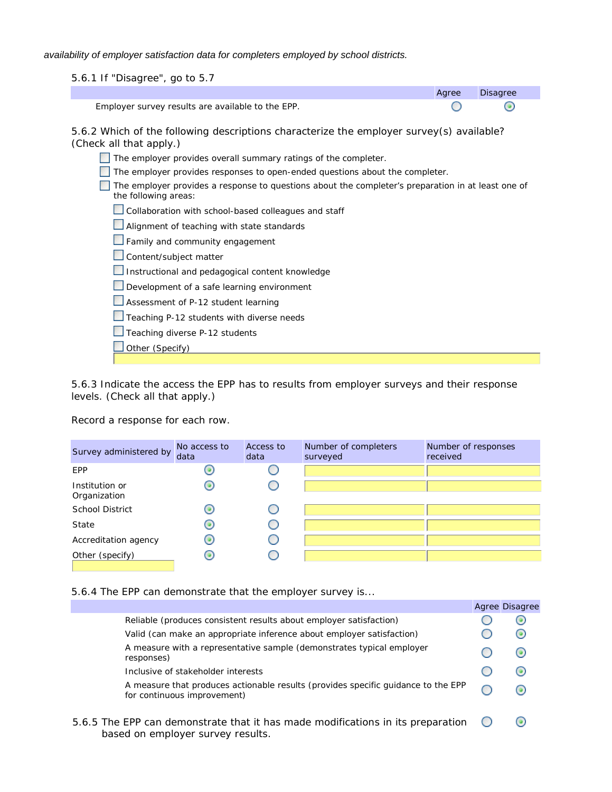*availability of employer satisfaction data for completers employed by school districts.*

5.6.1 If "Disagree", go to 5.7

|                                                   | Agree Disagree |  |
|---------------------------------------------------|----------------|--|
| Employer survey results are available to the EPP. |                |  |

5.6.2 Which of the following descriptions characterize the employer survey(s) available? (Check all that apply.)

| The employer provides overall summary ratings of the completer.                                                            |
|----------------------------------------------------------------------------------------------------------------------------|
| The employer provides responses to open-ended questions about the completer.                                               |
| The employer provides a response to questions about the completer's preparation in at least one of<br>the following areas: |
| Collaboration with school-based colleagues and staff                                                                       |
| Alignment of teaching with state standards                                                                                 |
| Family and community engagement                                                                                            |
| Content/subject matter                                                                                                     |
| Instructional and pedagogical content knowledge                                                                            |
| Development of a safe learning environment                                                                                 |
| Assessment of P-12 student learning                                                                                        |
| Teaching P-12 students with diverse needs                                                                                  |
| Teaching diverse P-12 students                                                                                             |
| Other (Specify)                                                                                                            |
|                                                                                                                            |

5.6.3 Indicate the access the EPP has to results from employer surveys and their response levels. (Check all that apply.)

Record a response for each row.

| Survey administered by         | No access to<br>data | Access to<br>data | Number of completers<br>surveyed | Number of responses<br>received |
|--------------------------------|----------------------|-------------------|----------------------------------|---------------------------------|
| EPP                            |                      |                   |                                  |                                 |
| Institution or<br>Organization |                      |                   |                                  |                                 |
| <b>School District</b>         | 0)                   |                   |                                  |                                 |
| State                          | 0)                   |                   |                                  |                                 |
| Accreditation agency           | 0                    |                   |                                  |                                 |
| Other (specify)                | 0                    |                   |                                  |                                 |

#### 5.6.4 The EPP can demonstrate that the employer survey is...

|                                                                                                                      | Agree Disagree           |
|----------------------------------------------------------------------------------------------------------------------|--------------------------|
| Reliable (produces consistent results about employer satisfaction)                                                   | $\left( \bullet \right)$ |
| Valid (can make an appropriate inference about employer satisfaction)                                                | $\left( \bullet \right)$ |
| A measure with a representative sample (demonstrates typical employer<br>responses)                                  | $\left( \bullet \right)$ |
| Inclusive of stakeholder interests                                                                                   | $\left( \bullet \right)$ |
| A measure that produces actionable results (provides specific quidance to the EPP<br>for continuous improvement)     | (@)                      |
| 5.6.5 The EPP can demonstrate that it has made modifications in its preparation<br>based on employer survey results. |                          |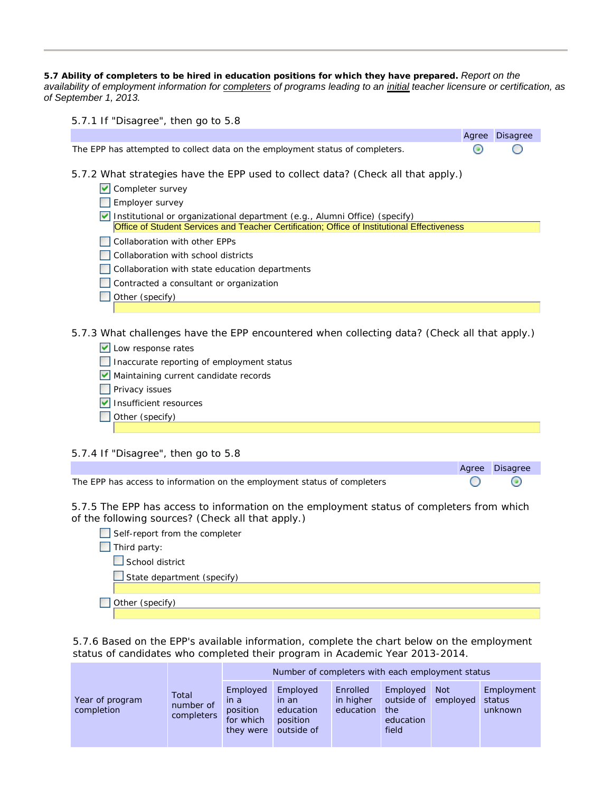**5.7 Ability of completers to be hired in education positions for which they have prepared.** *Report on the availability of employment information for completers of programs leading to an initial teacher licensure or certification, as of September 1, 2013.*

|  |  | 5.7.1 If "Disagree", then go to 5.8 |  |  |  |
|--|--|-------------------------------------|--|--|--|
|  |  |                                     |  |  |  |

|                                                                                                                                                                           | Agree | Disagree |
|---------------------------------------------------------------------------------------------------------------------------------------------------------------------------|-------|----------|
| The EPP has attempted to collect data on the employment status of completers.                                                                                             |       |          |
| 5.7.2 What strategies have the EPP used to collect data? (Check all that apply.)                                                                                          |       |          |
| $\triangleright$ Completer survey                                                                                                                                         |       |          |
| Employer survey                                                                                                                                                           |       |          |
| Institutional or organizational department (e.g., Alumni Office) (specify)<br>Office of Student Services and Teacher Certification; Office of Institutional Effectiveness |       |          |
| Collaboration with other EPPs                                                                                                                                             |       |          |
| Collaboration with school districts                                                                                                                                       |       |          |
| Collaboration with state education departments                                                                                                                            |       |          |
| Contracted a consultant or organization                                                                                                                                   |       |          |
| Other (specify)                                                                                                                                                           |       |          |
|                                                                                                                                                                           |       |          |
|                                                                                                                                                                           |       |          |

5.7.3 What challenges have the EPP encountered when collecting data? (Check all that apply.)

| U Low response rates        |
|-----------------------------|
| $\Box$ Inconurate reporting |

- Inaccurate reporting of employment status
- Maintaining current candidate records
- **Privacy issues**
- **V** Insufficient resources
- Other (specify)

#### 5.7.4 If "Disagree", then go to 5.8

|                                                                          | Agree Disagree |
|--------------------------------------------------------------------------|----------------|
| The EPP has access to information on the employment status of completers |                |

5.7.5 The EPP has access to information on the employment status of completers from which of the following sources? (Check all that apply.)

| Self-report from the completer |
|--------------------------------|
| Third party:                   |
| $\Box$ School district         |
| State department (specify)     |
|                                |
| Other (specify)                |
|                                |

5.7.6 Based on the EPP's available information, complete the chart below on the employment status of candidates who completed their program in Academic Year 2013-2014.

|                               |                                  | Number of completers with each employment status       |                                                          |                                    |                                                     |                        |                                 |
|-------------------------------|----------------------------------|--------------------------------------------------------|----------------------------------------------------------|------------------------------------|-----------------------------------------------------|------------------------|---------------------------------|
| Year of program<br>completion | Total<br>number of<br>completers | Employed<br>in a<br>position<br>for which<br>they were | Employed<br>in an<br>education<br>position<br>outside of | Enrolled<br>in higher<br>education | Employed<br>outside of<br>the<br>education<br>field | <b>Not</b><br>employed | Employment<br>status<br>unknown |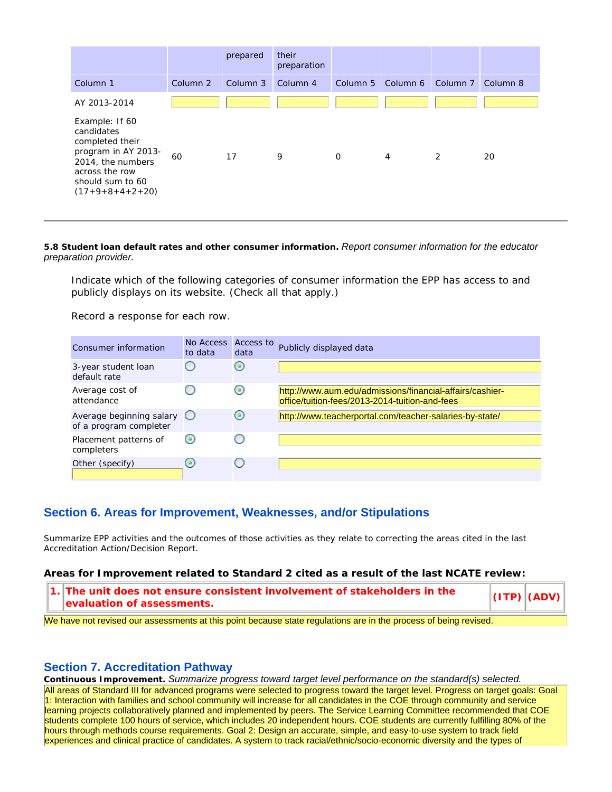|                                                                                                                                                        |          | prepared | their<br>preparation |             |                                     |   |    |
|--------------------------------------------------------------------------------------------------------------------------------------------------------|----------|----------|----------------------|-------------|-------------------------------------|---|----|
| Column 1                                                                                                                                               | Column 2 | Column 3 | Column <sub>4</sub>  |             | Column 5 Column 6 Column 7 Column 8 |   |    |
| AY 2013-2014                                                                                                                                           |          |          |                      |             |                                     |   |    |
| Example: If 60<br>candidates<br>completed their<br>program in AY 2013-<br>2014, the numbers<br>across the row<br>should sum to 60<br>$(17+9+8+4+2+20)$ | 60       | 17       | 9                    | $\mathbf 0$ | $\overline{4}$                      | 2 | 20 |

**5.8 Student loan default rates and other consumer information.** *Report consumer information for the educator preparation provider.*

Indicate which of the following categories of consumer information the EPP has access to and publicly displays on its website. (Check all that apply.)

Record a response for each row.

| Consumer information                                          | No Access<br>to data     | Access to<br>data        | Publicly displayed data                                                                                     |
|---------------------------------------------------------------|--------------------------|--------------------------|-------------------------------------------------------------------------------------------------------------|
| 3-year student loan<br>default rate                           |                          | $\circ$                  |                                                                                                             |
| Average cost of<br>attendance                                 |                          | $\left( \bullet \right)$ | http://www.aum.edu/admissions/financial-affairs/cashier-<br>loffice/tuition-fees/2013-2014-tuition-and-fees |
| Average beginning salary $\bigcirc$<br>of a program completer |                          | $\circ$                  | http://www.teacherportal.com/teacher-salaries-by-state/                                                     |
| Placement patterns of<br>completers                           | $\left( \bullet \right)$ |                          |                                                                                                             |
| Other (specify)                                               |                          |                          |                                                                                                             |

## **Section 6. Areas for Improvement, Weaknesses, and/or Stipulations**

Summarize EPP activities and the outcomes of those activities as they relate to correcting the areas cited in the last Accreditation Action/Decision Report.

**Areas for Improvement related to Standard 2 cited as a result of the last NCATE review:**

**1. The unit does not ensure consistent involvement of stakeholders in the evaluation of assessments.** *exaluation of assessments*.

We have not revised our assessments at this point because state regulations are in the process of being revised.

#### **Section 7. Accreditation Pathway**

**Continuous Improvement.** *Summarize progress toward target level performance on the standard(s) selected.* All areas of Standard III for advanced programs were selected to progress toward the target level. Progress on target goals: Goal 1: Interaction with families and school community will increase for all candidates in the COE through community and service learning projects collaboratively planned and implemented by peers. The Service Learning Committee recommended that COE students complete 100 hours of service, which includes 20 independent hours. COE students are currently fulfilling 80% of the hours through methods course requirements. Goal 2: Design an accurate, simple, and easy-to-use system to track field experiences and clinical practice of candidates. A system to track racial/ethnic/socio-economic diversity and the types of